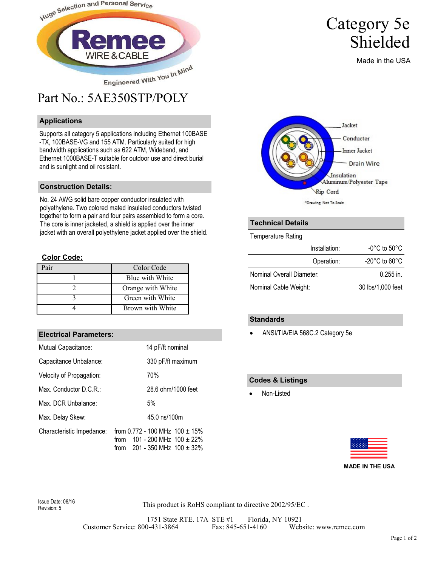

## Part No.: 5AE350STP/POLY

#### **Applications**

Supports all category 5 applications including Ethernet 100BASE -TX, 100BASE-VG and 155 ATM. Particularly suited for high bandwidth applications such as 622 ATM, Wideband, and Ethernet 1000BASE-T suitable for outdoor use and direct burial and is sunlight and oil resistant.

#### **Construction Details:**

No. 24 AWG solid bare copper conductor insulated with polyethylene. Two colored mated insulated conductors twisted together to form a pair and four pairs assembled to form a core. The core is inner jacketed, a shield is applied over the inner jacket with an overall polyethylene jacket applied over the shield.

#### **Color Code:**

| ʻair | Color Code        |
|------|-------------------|
|      | Blue with White   |
|      | Orange with White |
|      | Green with White  |
|      | Brown with White  |

#### **Electrical Parameters:**

| Mutual Capacitance:       | 14 pF/ft nominal                                                                                                    |  |  |  |
|---------------------------|---------------------------------------------------------------------------------------------------------------------|--|--|--|
|                           |                                                                                                                     |  |  |  |
| Capacitance Unbalance:    | 330 pF/ft maximum                                                                                                   |  |  |  |
| Velocity of Propagation:  | 70%                                                                                                                 |  |  |  |
| Max. Conductor D.C.R.:    | 28.6 ohm/1000 feet                                                                                                  |  |  |  |
| Max. DCR Unbalance:       | 5%                                                                                                                  |  |  |  |
| Max. Delay Skew:          | 45.0 ns/100m                                                                                                        |  |  |  |
| Characteristic Impedance: | from 0.772 - 100 MHz $100 \pm 15\%$<br>101 - 200 MHz $100 \pm 22\%$<br>from<br>201 - 350 MHz $100 \pm 32\%$<br>from |  |  |  |

# Jacket Conductor **Inner Jacket Drain Wire** Insulation Aluminum/Polyester Tape

Category 5e

Shielded

Made in the USA

#### **Technical Details**

Temperature Rating

| Installation:             | -0°C to 50°C.                      |  |  |
|---------------------------|------------------------------------|--|--|
| Operation:                | $-20^{\circ}$ C to 60 $^{\circ}$ C |  |  |
| Nominal Overall Diameter: | $0.255$ in.                        |  |  |
| Nominal Cable Weight:     | 30 lbs/1,000 feet                  |  |  |

Rip Cord \*Drawing Not To Scale

#### **Standards**

• ANSI/TIA/EIA 568C.2 Category 5e

#### **Codes & Listings**

Non-Listed



Revision: 5

Issue Date: 08/16<br>
Fourisies: E

1751 State RTE. 17A STE #1 Florida, NY 10921 Customer Service: 800-431-3864 Fax: 845-651-4160 Website: www.remee.com